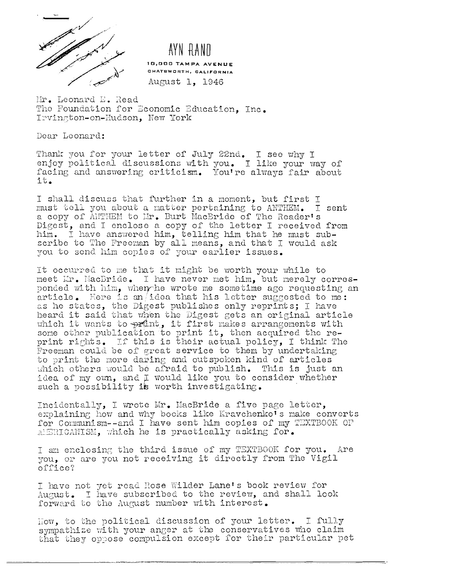

## AYN RAND

10.000 TAMPA AVENUE CHATSWORTH, CALIFORNIA August 1. 1946

Mr. Leonard E. Read The Foundation for Economic Education. Inc. Irvington-on-Hudson, New York

Dear Leonard:

Thank you for your letter of July 22nd. I see why I enjoy political discussions with you. I like your way of facing and answering criticism. You're always fair about it.

I shall discuss that further in a moment, but first I must tell you about a matter pertaining to ANTHEM. I sent<br>a copy of ANTHEM to Mr. Burt MacBride of The Reader's Digest, and I enclose a copy of the letter I received from him. I have answered him, telling him that he must subscribe to The Freeman by all means, and that I would ask you to send him copies of your earlier issues.

It occurred to me that it might be worth your while to meet Mr. MacBride. I have never met him, but merely corresponded with him, when he wrote me sometime ago requesting an article. Here is an idea that his letter suggested to me: as he states, the Digest publishes only reprints; I have heard it said that when the Digest gets an original article which it wants to print, it first makes arrangements with some other publication to print it, then acquired the reprint rights. If this is their actual policy, I think The Freeman could be of great service to them by undertaking to print the more daring and outspoken kind of articles which others would be arraid to publish. This is just an idea of my own, and I would like you to consider whether such a possibility is worth investigating.

Incidentally, I wrote Mr. MacBride a five page letter, explaining how and why books like Kravchenko's make converts for Communism--and I have sent him copies of my TEXTBOOK OF MERICANISM, which he is practically asking for.

I am enclosing the third issue of my TEXTBOOK for you. Are you, or are you not receiving it directly from The Vigil office?

I have not yet read Rose Wilder Lane's book review for<br>August. I have subscribed to the review, and shall look forward to the August number with interest.

How, to the political discussion of your letter. I fully sympathize with your anger at the conservatives who claim that they oppose compulsion except for their particular pet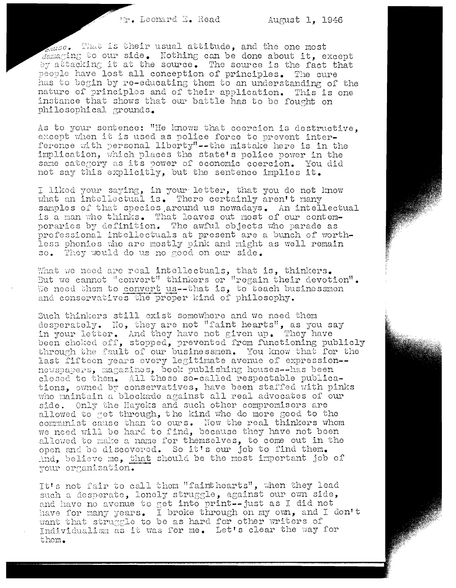cause. That is their usual attitude, and the one most  $d$ amaging to our side. Nothing can be done about it, except by attacking it at the source. The source is the fact that people have lost all conception of principles. The cure has to begin by re-educating them to an understanding of the nature of principles and of their application. This is one instance that shows that our battle has to be fought on philosophical grounds.

As to your sentence: "He knows that coercion is destructive, except when it is used as police force to prevent interference with personal liberty"--the mistake here is in the implication, which places the state's police power in the same category as its power of economic coercion. You did not say this explicitly, but the sentence implies it.

I liked your saying, in your letter, that you do not know what an intellectual is. There certainly aren't many samples of that species around us nowadays. An intellectual is a man who thinks. That leaves out most of our contemporaries by definition. The awful objects who parade as professional intellectuals at present are a bunch of worthless phonies who are mostly pink and might as well remain so. They would do us no good on our side.

What we need are real intellectuals, that is, thinkers.<br>But we cannot "convert" thinkers or "regain their devotion". We need them to convert us--that is, to teach businessmen and conservatives the proper kind of philosophy.

Such thinkers still exist somewhere and we need them desperately. No, they are not "faint hearts", as you say<br>in your letter. And they have not given up. They have been choked off, stopped, prevented from functioning publicly through the fault of our businessmen. You know that for the last fifteen years every legitimate avenue of expression-newspapers, magazines, book publishing houses--has been closed to them. All these so-called respectable publications, owned by conservatives, have been staffed with pinks who maintain a blockade against all real advocates of our side. Only the Hayeks and such other compromisers are allowed to get through, the kind who do more good to the communist cause than to ours. Now the real thinkers whom<br>we need will be hard to find, because they have not been allowed to make a name for themselves, to come out in the open and be discovered. So it's our job to find them. And, believe me, that should be the most important job of your organization.

It's not fair to call them "faint hearts", when they lead such a desperate, lonely struggle, against our own side, and have no avenue to get into print--just as I did not have for many years. I broke through on my own, and I don't want that struggle to be as hard for other writers of Individualism as it was for me. Let's clear the way for them.